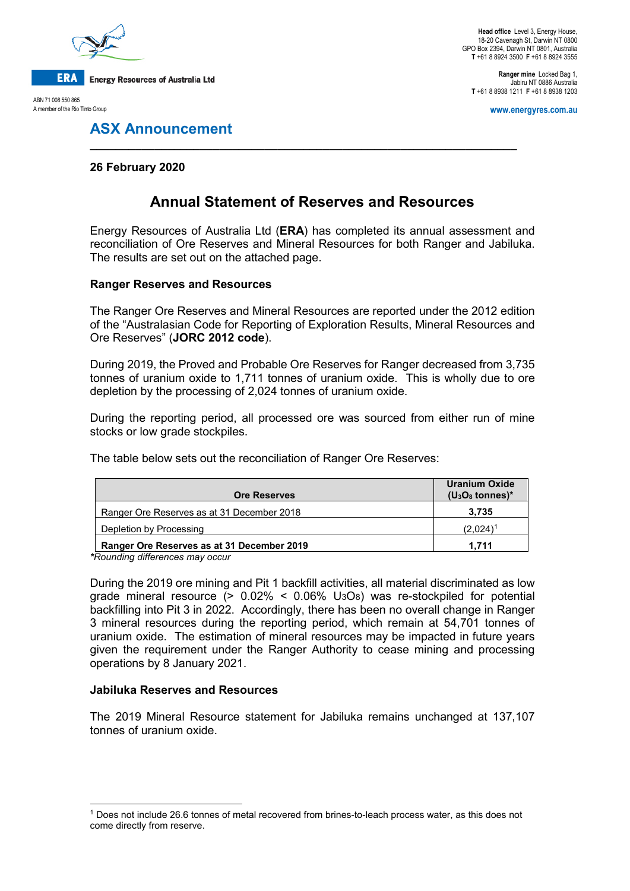

ABN 71 008 550 865 A member of the Rio Tinto Group

**Head office** Level 3, Energy House, 18-20 Cavenagh St, Darwin NT 0800 GPO Box 2394, Darwin NT 0801, Australia **T** +61 8 8924 3500 **F** +61 8 8924 3555

**Ranger mine** Locked Bag 1, Jabiru NT 0886 Australia **T** +61 8 8938 1211 **F** +61 8 8938 1203

**www.energyres.com.au**

## **ASX Announcement**

## **26 February 2020**

# **Annual Statement of Reserves and Resources**

**\_\_\_\_\_\_\_\_\_\_\_\_\_\_\_\_\_\_\_\_\_\_\_\_\_\_\_\_\_\_\_\_\_\_\_\_\_\_\_\_\_\_\_\_\_\_\_\_\_\_\_\_\_\_\_\_\_\_\_\_\_\_\_\_\_\_**

Energy Resources of Australia Ltd (**ERA**) has completed its annual assessment and reconciliation of Ore Reserves and Mineral Resources for both Ranger and Jabiluka. The results are set out on the attached page.

### **Ranger Reserves and Resources**

The Ranger Ore Reserves and Mineral Resources are reported under the 2012 edition of the "Australasian Code for Reporting of Exploration Results, Mineral Resources and Ore Reserves" (**JORC 2012 code**).

During 2019, the Proved and Probable Ore Reserves for Ranger decreased from 3,735 tonnes of uranium oxide to 1,711 tonnes of uranium oxide. This is wholly due to ore depletion by the processing of 2,024 tonnes of uranium oxide.

During the reporting period, all processed ore was sourced from either run of mine stocks or low grade stockpiles.

The table below sets out the reconciliation of Ranger Ore Reserves:

| <b>Ore Reserves</b>                        | <b>Uranium Oxide</b><br>$(U_3O_8 \t{tonnes})^*$ |
|--------------------------------------------|-------------------------------------------------|
| Ranger Ore Reserves as at 31 December 2018 | 3.735                                           |
| Depletion by Processing                    | $(2.024)^{1}$                                   |
| Ranger Ore Reserves as at 31 December 2019 | 1.711                                           |

*\*Rounding differences may occur* 

During the 2019 ore mining and Pit 1 backfill activities, all material discriminated as low grade mineral resource  $(> 0.02\% < 0.06\%$  U<sub>3</sub>O<sub>8</sub>) was re-stockpiled for potential backfilling into Pit 3 in 2022. Accordingly, there has been no overall change in Ranger 3 mineral resources during the reporting period, which remain at 54,701 tonnes of uranium oxide. The estimation of mineral resources may be impacted in future years given the requirement under the Ranger Authority to cease mining and processing operations by 8 January 2021.

### **Jabiluka Reserves and Resources**

The 2019 Mineral Resource statement for Jabiluka remains unchanged at 137,107 tonnes of uranium oxide.

<span id="page-0-0"></span> <sup>1</sup> Does not include 26.6 tonnes of metal recovered from brines-to-leach process water, as this does not come directly from reserve.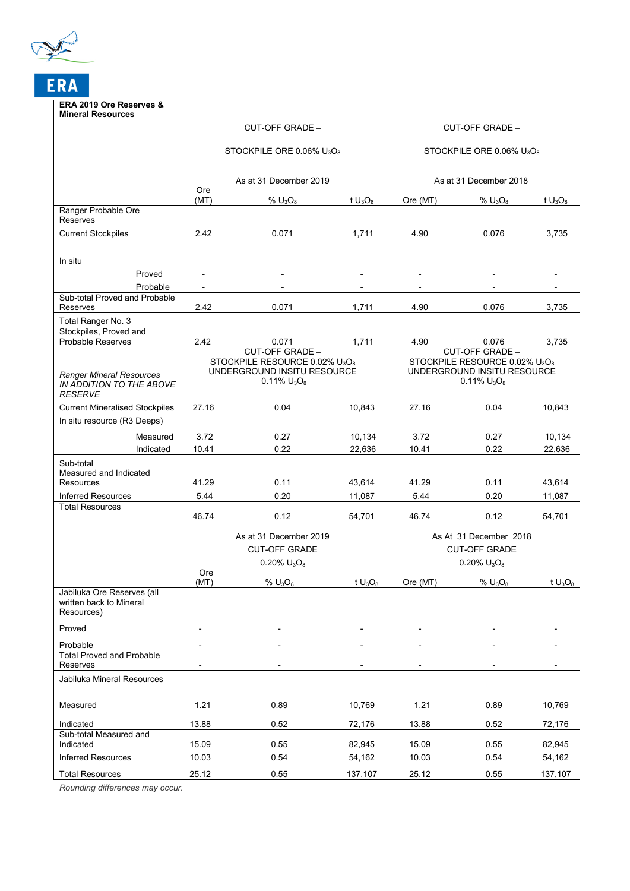

| ERA 2019 Ore Reserves &<br><b>Mineral Resources</b>                           |                                                                                                            |                        |            |                                                                                                            |                        |            |
|-------------------------------------------------------------------------------|------------------------------------------------------------------------------------------------------------|------------------------|------------|------------------------------------------------------------------------------------------------------------|------------------------|------------|
|                                                                               | CUT-OFF GRADE -                                                                                            |                        |            | CUT-OFF GRADE -                                                                                            |                        |            |
|                                                                               | STOCKPILE ORE 0.06% $U_3O_8$                                                                               |                        |            | STOCKPILE ORE 0.06% $U_3O_8$                                                                               |                        |            |
|                                                                               |                                                                                                            |                        |            |                                                                                                            |                        |            |
|                                                                               | As at 31 December 2019<br>Ore                                                                              |                        |            | As at 31 December 2018                                                                                     |                        |            |
|                                                                               | (MT)                                                                                                       | % $U_3O_8$             | t $U_3O_8$ | Ore (MT)                                                                                                   | % $U_3O_8$             | t $U_3O_8$ |
| Ranger Probable Ore<br>Reserves                                               |                                                                                                            |                        |            |                                                                                                            |                        |            |
| <b>Current Stockpiles</b>                                                     | 2.42                                                                                                       | 0.071                  | 1,711      | 4.90                                                                                                       | 0.076                  | 3,735      |
| In situ                                                                       |                                                                                                            |                        |            |                                                                                                            |                        |            |
| Proved                                                                        |                                                                                                            |                        |            |                                                                                                            |                        |            |
| Probable                                                                      |                                                                                                            |                        |            |                                                                                                            |                        |            |
| Sub-total Proved and Probable<br>Reserves                                     | 2.42                                                                                                       | 0.071                  | 1,711      | 4.90                                                                                                       | 0.076                  | 3,735      |
| Total Ranger No. 3                                                            |                                                                                                            |                        |            |                                                                                                            |                        |            |
| Stockpiles, Proved and<br><b>Probable Reserves</b>                            | 2.42                                                                                                       | 0.071                  | 1,711      | 4.90                                                                                                       | 0.076                  | 3,735      |
|                                                                               |                                                                                                            | <b>CUT-OFF GRADE -</b> |            |                                                                                                            | <b>CUT-OFF GRADE -</b> |            |
| <b>Ranger Mineral Resources</b><br>IN ADDITION TO THE ABOVE<br><b>RESERVE</b> | STOCKPILE RESOURCE 0.02% U <sub>3</sub> O <sub>8</sub><br>UNDERGROUND INSITU RESOURCE<br>$0.11\%$ $U_3O_8$ |                        |            | STOCKPILE RESOURCE 0.02% U <sub>3</sub> O <sub>8</sub><br>UNDERGROUND INSITU RESOURCE<br>$0.11\%$ $U_3O_8$ |                        |            |
| <b>Current Mineralised Stockpiles</b>                                         | 27.16                                                                                                      | 0.04                   | 10,843     | 27.16                                                                                                      | 0.04                   | 10,843     |
| In situ resource (R3 Deeps)                                                   |                                                                                                            |                        |            |                                                                                                            |                        |            |
| Measured                                                                      | 3.72                                                                                                       | 0.27                   | 10,134     | 3.72                                                                                                       | 0.27                   | 10,134     |
| Indicated                                                                     | 10.41                                                                                                      | 0.22                   | 22,636     | 10.41                                                                                                      | 0.22                   | 22,636     |
| Sub-total<br>Measured and Indicated<br>Resources                              | 41.29                                                                                                      | 0.11                   | 43,614     | 41.29                                                                                                      | 0.11                   | 43,614     |
| <b>Inferred Resources</b>                                                     | 5.44                                                                                                       | 0.20                   | 11,087     | 5.44                                                                                                       | 0.20                   | 11,087     |
| <b>Total Resources</b>                                                        |                                                                                                            |                        |            |                                                                                                            |                        |            |
|                                                                               | 46.74                                                                                                      | 0.12                   | 54,701     | 46.74                                                                                                      | 0.12                   | 54,701     |
|                                                                               |                                                                                                            | As at 31 December 2019 |            | As At 31 December 2018<br><b>CUT-OFF GRADE</b>                                                             |                        |            |
|                                                                               |                                                                                                            | <b>CUT-OFF GRADE</b>   |            |                                                                                                            |                        |            |
|                                                                               |                                                                                                            | $0.20\%$ $U_3O_8$      |            | $0.20\%$ $U_3O_8$                                                                                          |                        |            |
|                                                                               | Ore<br>(MT)                                                                                                | % $U_3O_8$             | t $U_3O_8$ | Ore (MT)                                                                                                   | % $U_3O_8$             | t $U_3O_8$ |
| Jabiluka Ore Reserves (all<br>written back to Mineral<br>Resources)           |                                                                                                            |                        |            |                                                                                                            |                        |            |
| Proved                                                                        |                                                                                                            |                        |            |                                                                                                            |                        |            |
| Probable                                                                      |                                                                                                            |                        |            |                                                                                                            |                        |            |
| <b>Total Proved and Probable</b><br>Reserves                                  |                                                                                                            |                        |            |                                                                                                            |                        |            |
| Jabiluka Mineral Resources                                                    |                                                                                                            |                        |            |                                                                                                            |                        |            |
| Measured                                                                      | 1.21                                                                                                       | 0.89                   | 10,769     | 1.21                                                                                                       | 0.89                   | 10,769     |
| Indicated                                                                     | 13.88                                                                                                      | 0.52                   | 72,176     | 13.88                                                                                                      | 0.52                   | 72,176     |
| Sub-total Measured and<br>Indicated                                           | 15.09                                                                                                      | 0.55                   | 82,945     | 15.09                                                                                                      | 0.55                   | 82,945     |
| <b>Inferred Resources</b>                                                     | 10.03                                                                                                      | 0.54                   | 54,162     | 10.03                                                                                                      | 0.54                   | 54,162     |
| <b>Total Resources</b>                                                        | 25.12                                                                                                      | 0.55                   | 137,107    | 25.12                                                                                                      | 0.55                   | 137,107    |

*Rounding differences may occur.*